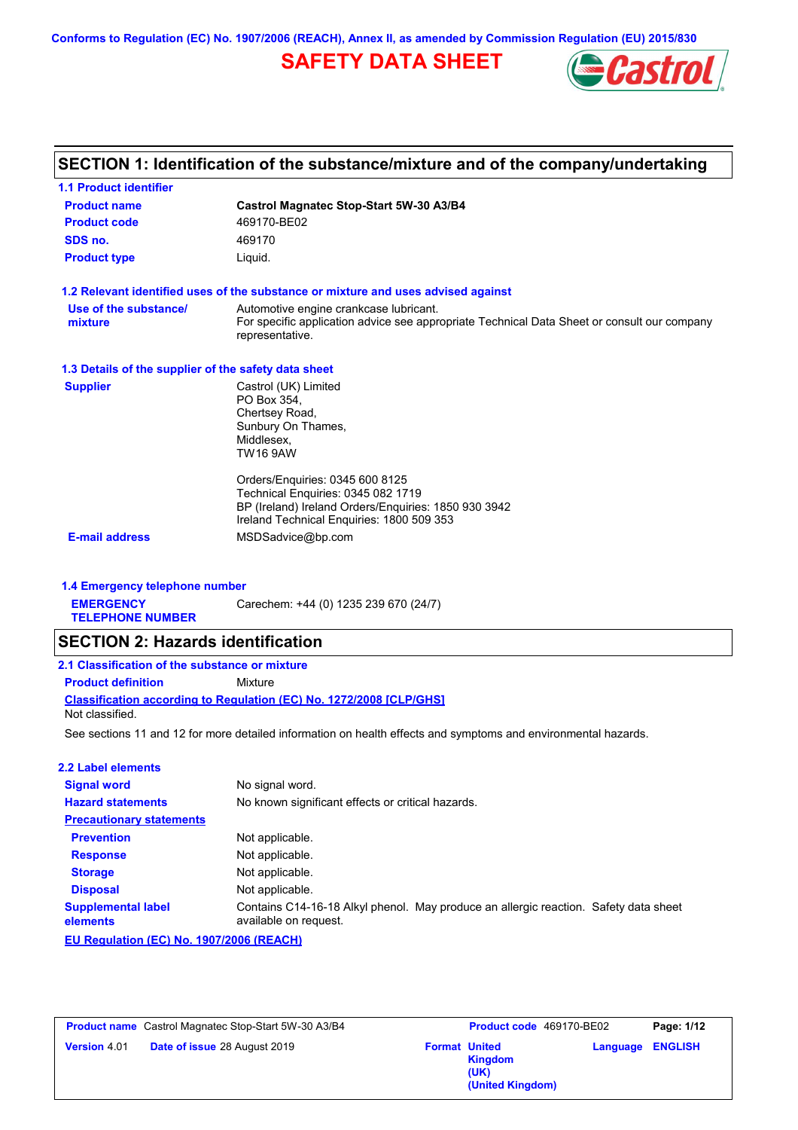**Conforms to Regulation (EC) No. 1907/2006 (REACH), Annex II, as amended by Commission Regulation (EU) 2015/830**

## **SAFETY DATA SHEET**



# **SECTION 1: Identification of the substance/mixture and of the company/undertaking**

| <b>1.1 Product identifier</b>                        |                                                                                                                                                                                                 |  |  |  |  |
|------------------------------------------------------|-------------------------------------------------------------------------------------------------------------------------------------------------------------------------------------------------|--|--|--|--|
| <b>Product name</b>                                  | <b>Castrol Magnatec Stop-Start 5W-30 A3/B4</b>                                                                                                                                                  |  |  |  |  |
| <b>Product code</b>                                  | 469170-BE02                                                                                                                                                                                     |  |  |  |  |
| SDS no.                                              | 469170                                                                                                                                                                                          |  |  |  |  |
| <b>Product type</b>                                  | Liquid.                                                                                                                                                                                         |  |  |  |  |
|                                                      | 1.2 Relevant identified uses of the substance or mixture and uses advised against                                                                                                               |  |  |  |  |
| Use of the substance/<br>mixture                     | Automotive engine crankcase lubricant.<br>For specific application advice see appropriate Technical Data Sheet or consult our company<br>representative.                                        |  |  |  |  |
| 1.3 Details of the supplier of the safety data sheet |                                                                                                                                                                                                 |  |  |  |  |
| <b>Supplier</b>                                      | Castrol (UK) Limited<br>PO Box 354,<br>Chertsey Road,<br>Sunbury On Thames,<br>Middlesex,<br><b>TW16 9AW</b>                                                                                    |  |  |  |  |
| <b>E-mail address</b>                                | Orders/Enquiries: 0345 600 8125<br>Technical Enquiries: 0345 082 1719<br>BP (Ireland) Ireland Orders/Enquiries: 1850 930 3942<br>Ireland Technical Enquiries: 1800 509 353<br>MSDSadvice@bp.com |  |  |  |  |
|                                                      |                                                                                                                                                                                                 |  |  |  |  |
| 1.4 Emergency telephone number                       |                                                                                                                                                                                                 |  |  |  |  |
| <b>EMERGENCY</b><br><b>TELEPHONE NUMBER</b>          | Carechem: +44 (0) 1235 239 670 (24/7)                                                                                                                                                           |  |  |  |  |
| <b>SECTION 2: Hazards identification</b>             |                                                                                                                                                                                                 |  |  |  |  |
| 2.1 Classification of the substance or mixture       |                                                                                                                                                                                                 |  |  |  |  |
| <b>Product definition</b>                            | Mixture                                                                                                                                                                                         |  |  |  |  |
| Not classified.                                      | <b>Classification according to Regulation (EC) No. 1272/2008 [CLP/GHS]</b>                                                                                                                      |  |  |  |  |
|                                                      | See sections 11 and 12 for more detailed information on health effects and symptoms and environmental hazards.                                                                                  |  |  |  |  |
| <b>2.2 Label elements</b>                            |                                                                                                                                                                                                 |  |  |  |  |
| <b>Signal word</b>                                   | No signal word.                                                                                                                                                                                 |  |  |  |  |
| <b>Hazard statements</b>                             | No known significant effects or critical hazards.                                                                                                                                               |  |  |  |  |
| <b>Precautionary statements</b>                      |                                                                                                                                                                                                 |  |  |  |  |
| <b>Prevention</b>                                    | Not applicable.                                                                                                                                                                                 |  |  |  |  |
| <b>Response</b>                                      | Not applicable.                                                                                                                                                                                 |  |  |  |  |
| <b>Storage</b>                                       | Not applicable.                                                                                                                                                                                 |  |  |  |  |
| <b>Disposal</b>                                      | Not applicable.                                                                                                                                                                                 |  |  |  |  |
| <b>Supplemental label</b><br>elements                | Contains C14-16-18 Alkyl phenol. May produce an allergic reaction. Safety data sheet<br>available on request.                                                                                   |  |  |  |  |
| EU Regulation (EC) No. 1907/2006 (REACH)             |                                                                                                                                                                                                 |  |  |  |  |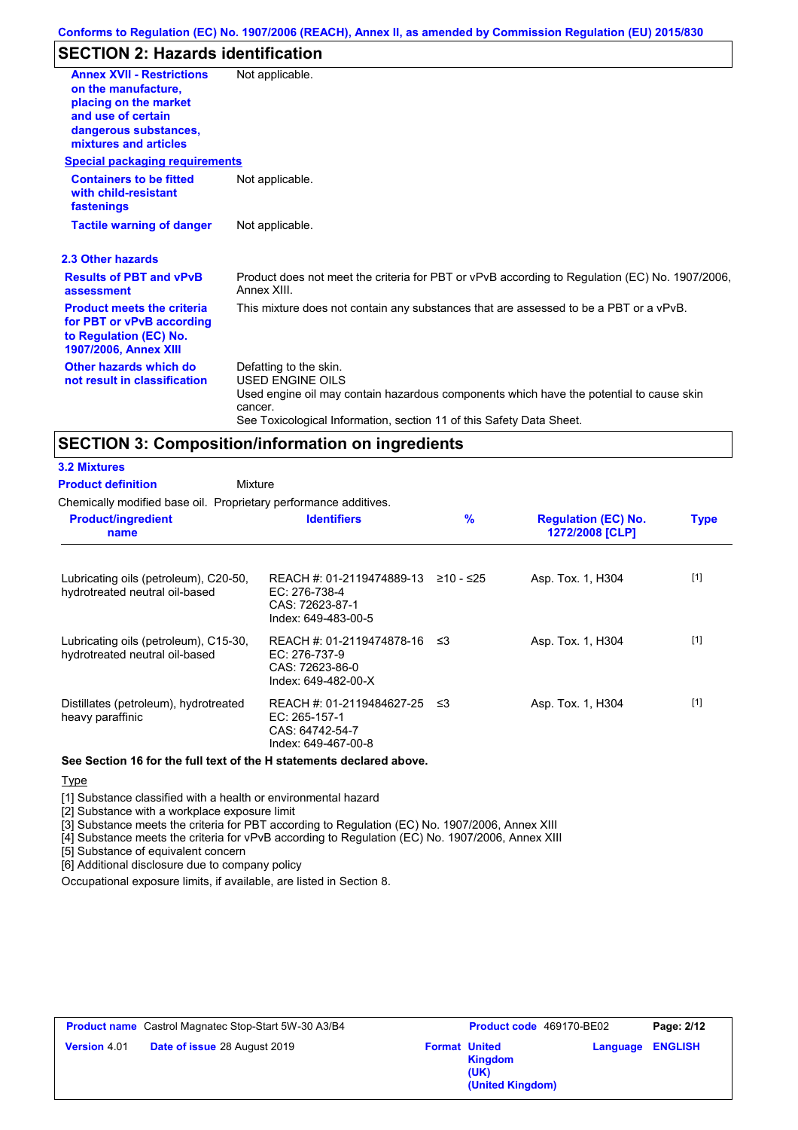## **SECTION 2: Hazards identification**

| <b>Annex XVII - Restrictions</b><br>on the manufacture.<br>placing on the market<br>and use of certain<br>dangerous substances,<br>mixtures and articles | Not applicable.                                                                                                                                                                                                          |
|----------------------------------------------------------------------------------------------------------------------------------------------------------|--------------------------------------------------------------------------------------------------------------------------------------------------------------------------------------------------------------------------|
| <b>Special packaging requirements</b>                                                                                                                    |                                                                                                                                                                                                                          |
| <b>Containers to be fitted</b><br>with child-resistant<br>fastenings                                                                                     | Not applicable.                                                                                                                                                                                                          |
| <b>Tactile warning of danger</b>                                                                                                                         | Not applicable.                                                                                                                                                                                                          |
| 2.3 Other hazards                                                                                                                                        |                                                                                                                                                                                                                          |
| <b>Results of PBT and vPvB</b><br>assessment                                                                                                             | Product does not meet the criteria for PBT or vPvB according to Regulation (EC) No. 1907/2006,<br>Annex XIII.                                                                                                            |
| <b>Product meets the criteria</b><br>for PBT or vPvB according<br>to Regulation (EC) No.<br><b>1907/2006, Annex XIII</b>                                 | This mixture does not contain any substances that are assessed to be a PBT or a vPvB.                                                                                                                                    |
| Other hazards which do<br>not result in classification                                                                                                   | Defatting to the skin.<br>USED ENGINE OILS<br>Used engine oil may contain hazardous components which have the potential to cause skin<br>cancer.<br>See Toxicological Information, section 11 of this Safety Data Sheet. |

## **SECTION 3: Composition/information on ingredients**

#### Mixture **3.2 Mixtures Product definition**

Chemically modified base oil. Proprietary performance additives.

| <b>Product/ingredient</b><br>name                                       | <b>Identifiers</b>                                                                        | $\frac{9}{6}$ | <b>Regulation (EC) No.</b><br>1272/2008 [CLP] | <b>Type</b> |  |
|-------------------------------------------------------------------------|-------------------------------------------------------------------------------------------|---------------|-----------------------------------------------|-------------|--|
| Lubricating oils (petroleum), C20-50,<br>hydrotreated neutral oil-based | REACH #: 01-2119474889-13<br>$EC: 276-738-4$<br>CAS: 72623-87-1<br>Index: 649-483-00-5    | ≥10 - ≤25     | Asp. Tox. 1, H304                             | $[1]$       |  |
| Lubricating oils (petroleum), C15-30,<br>hydrotreated neutral oil-based | REACH #: 01-2119474878-16 ≤3<br>EC: 276-737-9<br>CAS: 72623-86-0<br>Index: 649-482-00-X   |               | Asp. Tox. 1, H304                             | $[1]$       |  |
| Distillates (petroleum), hydrotreated<br>heavy paraffinic               | REACH #: 01-2119484627-25 ≤3<br>$EC: 265-157-1$<br>CAS: 64742-54-7<br>Index: 649-467-00-8 |               | Asp. Tox. 1, H304                             | $[1]$       |  |

### **See Section 16 for the full text of the H statements declared above.**

**Type** 

[1] Substance classified with a health or environmental hazard

[2] Substance with a workplace exposure limit

[3] Substance meets the criteria for PBT according to Regulation (EC) No. 1907/2006, Annex XIII

[4] Substance meets the criteria for vPvB according to Regulation (EC) No. 1907/2006, Annex XIII

[5] Substance of equivalent concern

[6] Additional disclosure due to company policy

Occupational exposure limits, if available, are listed in Section 8.

| <b>Product name</b> Castrol Magnatec Stop-Start 5W-30 A3/B4 |                              | Product code 469170-BE02 |                                            | Page: 2/12 |                |
|-------------------------------------------------------------|------------------------------|--------------------------|--------------------------------------------|------------|----------------|
| <b>Version 4.01</b>                                         | Date of issue 28 August 2019 | <b>Format United</b>     | <b>Kingdom</b><br>(UK)<br>(United Kingdom) | Language   | <b>ENGLISH</b> |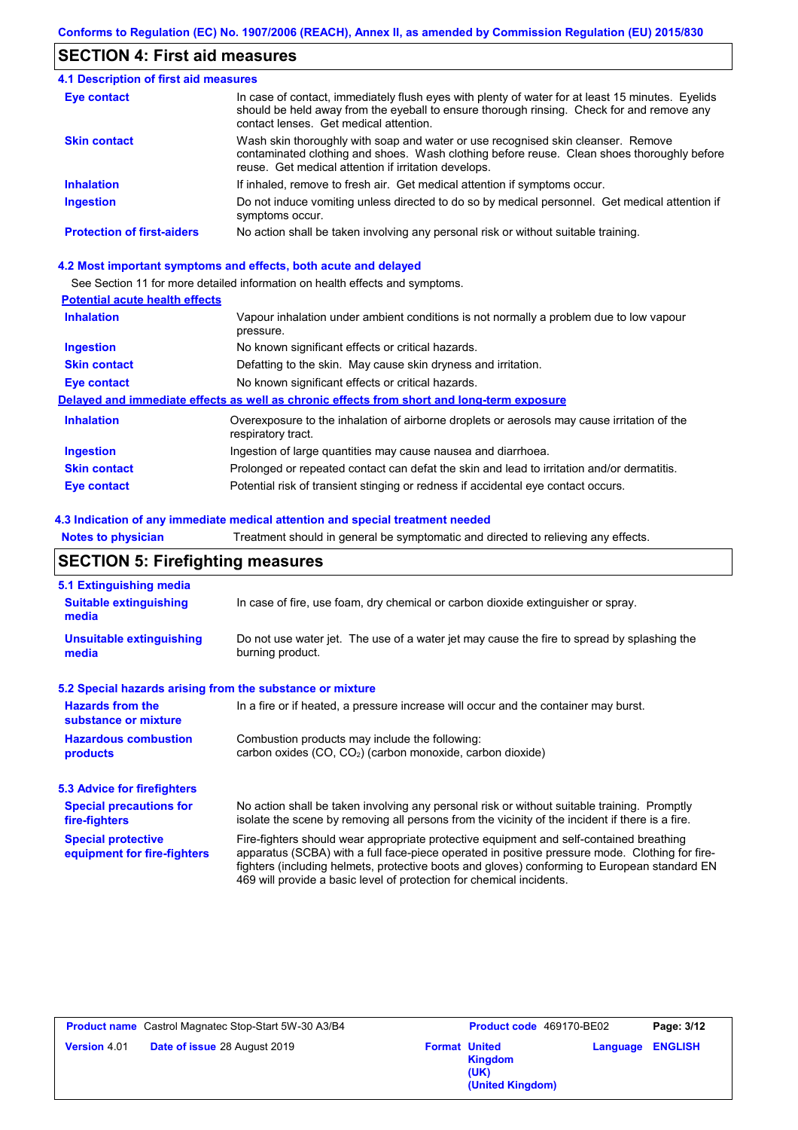### **SECTION 4: First aid measures**

#### Do not induce vomiting unless directed to do so by medical personnel. Get medical attention if symptoms occur. In case of contact, immediately flush eyes with plenty of water for at least 15 minutes. Eyelids should be held away from the eyeball to ensure thorough rinsing. Check for and remove any contact lenses. Get medical attention. **4.1 Description of first aid measures** If inhaled, remove to fresh air. Get medical attention if symptoms occur. **Ingestion Inhalation Eye contact Protection of first-aiders** No action shall be taken involving any personal risk or without suitable training. **Skin contact** Wash skin thoroughly with soap and water or use recognised skin cleanser. Remove contaminated clothing and shoes. Wash clothing before reuse. Clean shoes thoroughly before reuse. Get medical attention if irritation develops.

### **4.2 Most important symptoms and effects, both acute and delayed**

See Section 11 for more detailed information on health effects and symptoms.

### **Potential acute health effects**

| <b>Inhalation</b>   | Vapour inhalation under ambient conditions is not normally a problem due to low vapour<br>pressure.               |
|---------------------|-------------------------------------------------------------------------------------------------------------------|
| <b>Ingestion</b>    | No known significant effects or critical hazards.                                                                 |
| <b>Skin contact</b> | Defatting to the skin. May cause skin dryness and irritation.                                                     |
| Eye contact         | No known significant effects or critical hazards.                                                                 |
|                     | Delayed and immediate effects as well as chronic effects from short and long-term exposure                        |
| <b>Inhalation</b>   | Overexposure to the inhalation of airborne droplets or aerosols may cause irritation of the<br>respiratory tract. |
| <b>Ingestion</b>    | Ingestion of large quantities may cause nausea and diarrhoea.                                                     |
| <b>Skin contact</b> | Prolonged or repeated contact can defat the skin and lead to irritation and/or dermatitis.                        |
| Eye contact         | Potential risk of transient stinging or redness if accidental eye contact occurs.                                 |

### **4.3 Indication of any immediate medical attention and special treatment needed**

**Notes to physician** Treatment should in general be symptomatic and directed to relieving any effects.

### **SECTION 5: Firefighting measures**

| 5.1 Extinguishing media                                                                                                                                                                                                                                                                                                                                                                                                       |                                                                                                                                                                                                |  |  |  |
|-------------------------------------------------------------------------------------------------------------------------------------------------------------------------------------------------------------------------------------------------------------------------------------------------------------------------------------------------------------------------------------------------------------------------------|------------------------------------------------------------------------------------------------------------------------------------------------------------------------------------------------|--|--|--|
| <b>Suitable extinguishing</b><br>media                                                                                                                                                                                                                                                                                                                                                                                        | In case of fire, use foam, dry chemical or carbon dioxide extinguisher or spray.                                                                                                               |  |  |  |
| <b>Unsuitable extinguishing</b><br>media                                                                                                                                                                                                                                                                                                                                                                                      | Do not use water jet. The use of a water jet may cause the fire to spread by splashing the<br>burning product.                                                                                 |  |  |  |
| 5.2 Special hazards arising from the substance or mixture                                                                                                                                                                                                                                                                                                                                                                     |                                                                                                                                                                                                |  |  |  |
| <b>Hazards from the</b><br>In a fire or if heated, a pressure increase will occur and the container may burst.<br>substance or mixture                                                                                                                                                                                                                                                                                        |                                                                                                                                                                                                |  |  |  |
| <b>Hazardous combustion</b><br>Combustion products may include the following:<br>carbon oxides (CO, CO <sub>2</sub> ) (carbon monoxide, carbon dioxide)<br>products                                                                                                                                                                                                                                                           |                                                                                                                                                                                                |  |  |  |
| <b>5.3 Advice for firefighters</b>                                                                                                                                                                                                                                                                                                                                                                                            |                                                                                                                                                                                                |  |  |  |
| <b>Special precautions for</b><br>fire-fighters                                                                                                                                                                                                                                                                                                                                                                               | No action shall be taken involving any personal risk or without suitable training. Promptly<br>isolate the scene by removing all persons from the vicinity of the incident if there is a fire. |  |  |  |
| Fire-fighters should wear appropriate protective equipment and self-contained breathing<br><b>Special protective</b><br>apparatus (SCBA) with a full face-piece operated in positive pressure mode. Clothing for fire-<br>equipment for fire-fighters<br>fighters (including helmets, protective boots and gloves) conforming to European standard EN<br>469 will provide a basic level of protection for chemical incidents. |                                                                                                                                                                                                |  |  |  |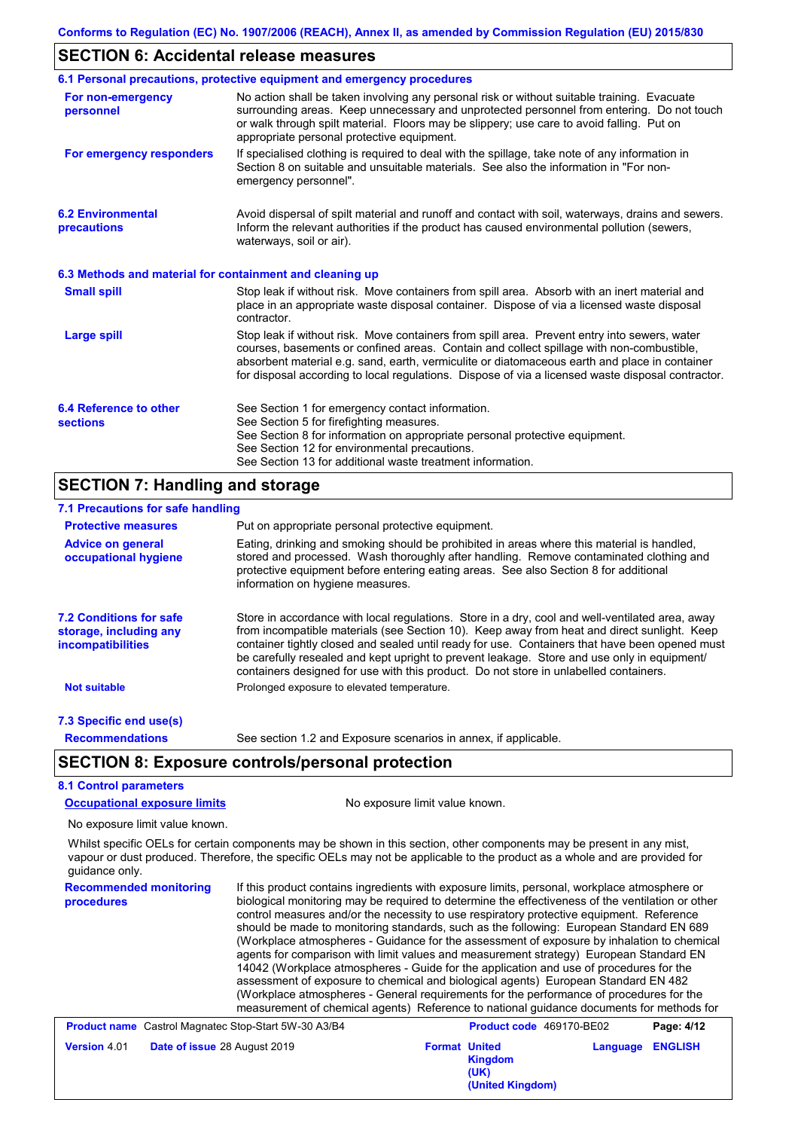## **SECTION 6: Accidental release measures**

|                                                          | 6.1 Personal precautions, protective equipment and emergency procedures                                                                                                                                                                                                                                                                                                                        |
|----------------------------------------------------------|------------------------------------------------------------------------------------------------------------------------------------------------------------------------------------------------------------------------------------------------------------------------------------------------------------------------------------------------------------------------------------------------|
| For non-emergency<br>personnel                           | No action shall be taken involving any personal risk or without suitable training. Evacuate<br>surrounding areas. Keep unnecessary and unprotected personnel from entering. Do not touch<br>or walk through spilt material. Floors may be slippery; use care to avoid falling. Put on<br>appropriate personal protective equipment.                                                            |
| For emergency responders                                 | If specialised clothing is required to deal with the spillage, take note of any information in<br>Section 8 on suitable and unsuitable materials. See also the information in "For non-<br>emergency personnel".                                                                                                                                                                               |
| <b>6.2 Environmental</b><br>precautions                  | Avoid dispersal of spilt material and runoff and contact with soil, waterways, drains and sewers.<br>Inform the relevant authorities if the product has caused environmental pollution (sewers,<br>waterways, soil or air).                                                                                                                                                                    |
| 6.3 Methods and material for containment and cleaning up |                                                                                                                                                                                                                                                                                                                                                                                                |
| <b>Small spill</b>                                       | Stop leak if without risk. Move containers from spill area. Absorb with an inert material and<br>place in an appropriate waste disposal container. Dispose of via a licensed waste disposal<br>contractor.                                                                                                                                                                                     |
| <b>Large spill</b>                                       | Stop leak if without risk. Move containers from spill area. Prevent entry into sewers, water<br>courses, basements or confined areas. Contain and collect spillage with non-combustible,<br>absorbent material e.g. sand, earth, vermiculite or diatomaceous earth and place in container<br>for disposal according to local regulations. Dispose of via a licensed waste disposal contractor. |
| 6.4 Reference to other                                   | See Section 1 for emergency contact information.                                                                                                                                                                                                                                                                                                                                               |
| <b>sections</b>                                          | See Section 5 for firefighting measures.                                                                                                                                                                                                                                                                                                                                                       |
|                                                          | See Section 8 for information on appropriate personal protective equipment.<br>See Section 12 for environmental precautions.                                                                                                                                                                                                                                                                   |
|                                                          | See Section 13 for additional waste treatment information.                                                                                                                                                                                                                                                                                                                                     |
| <b>SECTION 7: Handling and storage</b>                   |                                                                                                                                                                                                                                                                                                                                                                                                |
| 7.1 Precautions for safe handling                        |                                                                                                                                                                                                                                                                                                                                                                                                |

| <b>Protective measures</b>                                                           | Put on appropriate personal protective equipment.                                                                                                                                                                                                                                                                                                                                                                                                                                        |  |  |  |  |
|--------------------------------------------------------------------------------------|------------------------------------------------------------------------------------------------------------------------------------------------------------------------------------------------------------------------------------------------------------------------------------------------------------------------------------------------------------------------------------------------------------------------------------------------------------------------------------------|--|--|--|--|
| <b>Advice on general</b><br>occupational hygiene                                     | Eating, drinking and smoking should be prohibited in areas where this material is handled,<br>stored and processed. Wash thoroughly after handling. Remove contaminated clothing and<br>protective equipment before entering eating areas. See also Section 8 for additional<br>information on hygiene measures.                                                                                                                                                                         |  |  |  |  |
| <b>7.2 Conditions for safe</b><br>storage, including any<br><i>incompatibilities</i> | Store in accordance with local regulations. Store in a dry, cool and well-ventilated area, away<br>from incompatible materials (see Section 10). Keep away from heat and direct sunlight. Keep<br>container tightly closed and sealed until ready for use. Containers that have been opened must<br>be carefully resealed and kept upright to prevent leakage. Store and use only in equipment/<br>containers designed for use with this product. Do not store in unlabelled containers. |  |  |  |  |
| <b>Not suitable</b>                                                                  | Prolonged exposure to elevated temperature.                                                                                                                                                                                                                                                                                                                                                                                                                                              |  |  |  |  |
| 7.3 Specific end use(s)                                                              |                                                                                                                                                                                                                                                                                                                                                                                                                                                                                          |  |  |  |  |
| <b>Recommendations</b>                                                               | See section 1.2 and Exposure scenarios in annex, if applicable.                                                                                                                                                                                                                                                                                                                                                                                                                          |  |  |  |  |
|                                                                                      | <b>SECTION 8: Exposure controls/personal protection</b>                                                                                                                                                                                                                                                                                                                                                                                                                                  |  |  |  |  |
| <b>8.1 Control parameters</b>                                                        |                                                                                                                                                                                                                                                                                                                                                                                                                                                                                          |  |  |  |  |
| <b>Occupational exposure limits</b>                                                  | No exposure limit value known.                                                                                                                                                                                                                                                                                                                                                                                                                                                           |  |  |  |  |
| No exposure limit value known.                                                       |                                                                                                                                                                                                                                                                                                                                                                                                                                                                                          |  |  |  |  |
|                                                                                      | $\mathbf{M} \mathbf{H} \mathbf{H} = \mathbf{H} \mathbf{H} \mathbf{H} \mathbf{H} = \mathbf{H} \mathbf{H} \mathbf{H} + \mathbf{H} \mathbf{H} \mathbf{H} + \mathbf{H} \mathbf{H} \mathbf{H} + \mathbf{H} \mathbf{H} \mathbf{H} + \mathbf{H} \mathbf{H} \mathbf{H} \mathbf{H} + \mathbf{H} \mathbf{H} \mathbf{H} \mathbf{H} + \mathbf{H} \mathbf{H} \mathbf{H} \mathbf{H} \mathbf{H} \mathbf{H} \mathbf{H} \mathbf{H} \math$                                                                 |  |  |  |  |

Whilst specific OELs for certain components may be shown in this section, other components may be present in any mist, vapour or dust produced. Therefore, the specific OELs may not be applicable to the product as a whole and are provided for guidance only.

| <b>Recommended monitoring</b><br>procedures                 | If this product contains ingredients with exposure limits, personal, workplace atmosphere or<br>biological monitoring may be required to determine the effectiveness of the ventilation or other<br>control measures and/or the necessity to use respiratory protective equipment. Reference<br>should be made to monitoring standards, such as the following: European Standard EN 689<br>(Workplace atmospheres - Guidance for the assessment of exposure by inhalation to chemical<br>agents for comparison with limit values and measurement strategy) European Standard EN<br>14042 (Workplace atmospheres - Guide for the application and use of procedures for the<br>assessment of exposure to chemical and biological agents) European Standard EN 482<br>(Workplace atmospheres - General requirements for the performance of procedures for the<br>measurement of chemical agents) Reference to national guidance documents for methods for |  |                                                |                                 |                |
|-------------------------------------------------------------|--------------------------------------------------------------------------------------------------------------------------------------------------------------------------------------------------------------------------------------------------------------------------------------------------------------------------------------------------------------------------------------------------------------------------------------------------------------------------------------------------------------------------------------------------------------------------------------------------------------------------------------------------------------------------------------------------------------------------------------------------------------------------------------------------------------------------------------------------------------------------------------------------------------------------------------------------------|--|------------------------------------------------|---------------------------------|----------------|
| <b>Product name</b> Castrol Magnatec Stop-Start 5W-30 A3/B4 |                                                                                                                                                                                                                                                                                                                                                                                                                                                                                                                                                                                                                                                                                                                                                                                                                                                                                                                                                        |  |                                                | <b>Product code</b> 469170-BE02 | Page: 4/12     |
| Version 4.01<br>Date of issue 28 August 2019                |                                                                                                                                                                                                                                                                                                                                                                                                                                                                                                                                                                                                                                                                                                                                                                                                                                                                                                                                                        |  | <b>Format United</b><br><b>Kingdom</b><br>(UK) | Language                        | <b>ENGLISH</b> |

**(United Kingdom)**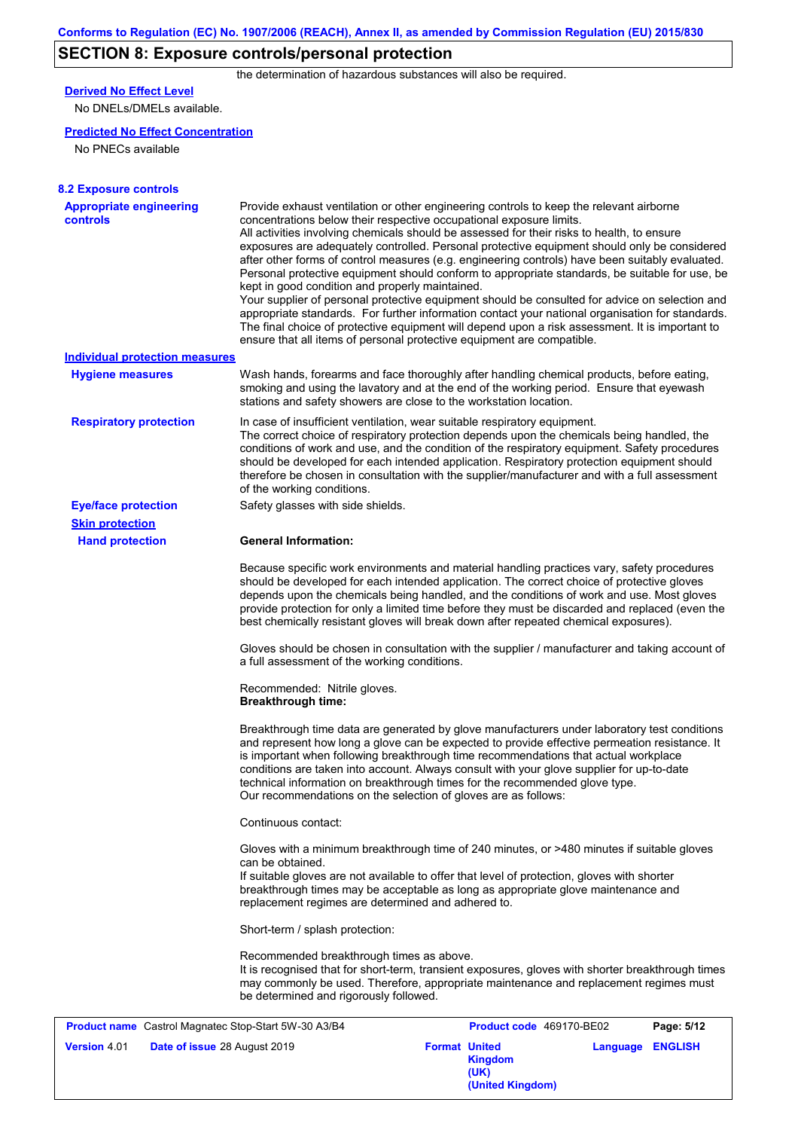## **SECTION 8: Exposure controls/personal protection**

the determination of hazardous substances will also be required.

## **Derived No Effect Level**

No DNELs/DMELs available.

### **Predicted No Effect Concentration**

No PNECs available

| <b>8.2 Exposure controls</b>                         |                                                                                                                        |                                                                                                                                                                                                                                                                                                                                                                                                                                                                                                                                                                                                                                                                                                                                                                                                                                                                               |            |
|------------------------------------------------------|------------------------------------------------------------------------------------------------------------------------|-------------------------------------------------------------------------------------------------------------------------------------------------------------------------------------------------------------------------------------------------------------------------------------------------------------------------------------------------------------------------------------------------------------------------------------------------------------------------------------------------------------------------------------------------------------------------------------------------------------------------------------------------------------------------------------------------------------------------------------------------------------------------------------------------------------------------------------------------------------------------------|------------|
| <b>Appropriate engineering</b><br>controls           | concentrations below their respective occupational exposure limits.<br>kept in good condition and properly maintained. | Provide exhaust ventilation or other engineering controls to keep the relevant airborne<br>All activities involving chemicals should be assessed for their risks to health, to ensure<br>exposures are adequately controlled. Personal protective equipment should only be considered<br>after other forms of control measures (e.g. engineering controls) have been suitably evaluated.<br>Personal protective equipment should conform to appropriate standards, be suitable for use, be<br>Your supplier of personal protective equipment should be consulted for advice on selection and<br>appropriate standards. For further information contact your national organisation for standards.<br>The final choice of protective equipment will depend upon a risk assessment. It is important to<br>ensure that all items of personal protective equipment are compatible. |            |
| <b>Individual protection measures</b>                |                                                                                                                        |                                                                                                                                                                                                                                                                                                                                                                                                                                                                                                                                                                                                                                                                                                                                                                                                                                                                               |            |
| <b>Hygiene measures</b>                              | stations and safety showers are close to the workstation location.                                                     | Wash hands, forearms and face thoroughly after handling chemical products, before eating,<br>smoking and using the lavatory and at the end of the working period. Ensure that eyewash                                                                                                                                                                                                                                                                                                                                                                                                                                                                                                                                                                                                                                                                                         |            |
| <b>Respiratory protection</b>                        | of the working conditions.                                                                                             | In case of insufficient ventilation, wear suitable respiratory equipment.<br>The correct choice of respiratory protection depends upon the chemicals being handled, the<br>conditions of work and use, and the condition of the respiratory equipment. Safety procedures<br>should be developed for each intended application. Respiratory protection equipment should<br>therefore be chosen in consultation with the supplier/manufacturer and with a full assessment                                                                                                                                                                                                                                                                                                                                                                                                       |            |
| <b>Eye/face protection</b>                           | Safety glasses with side shields.                                                                                      |                                                                                                                                                                                                                                                                                                                                                                                                                                                                                                                                                                                                                                                                                                                                                                                                                                                                               |            |
| <b>Skin protection</b>                               |                                                                                                                        |                                                                                                                                                                                                                                                                                                                                                                                                                                                                                                                                                                                                                                                                                                                                                                                                                                                                               |            |
| <b>Hand protection</b>                               | <b>General Information:</b>                                                                                            |                                                                                                                                                                                                                                                                                                                                                                                                                                                                                                                                                                                                                                                                                                                                                                                                                                                                               |            |
|                                                      |                                                                                                                        | Because specific work environments and material handling practices vary, safety procedures<br>should be developed for each intended application. The correct choice of protective gloves<br>depends upon the chemicals being handled, and the conditions of work and use. Most gloves<br>provide protection for only a limited time before they must be discarded and replaced (even the<br>best chemically resistant gloves will break down after repeated chemical exposures).                                                                                                                                                                                                                                                                                                                                                                                              |            |
|                                                      | a full assessment of the working conditions.                                                                           | Gloves should be chosen in consultation with the supplier / manufacturer and taking account of                                                                                                                                                                                                                                                                                                                                                                                                                                                                                                                                                                                                                                                                                                                                                                                |            |
|                                                      | Recommended: Nitrile gloves.<br><b>Breakthrough time:</b>                                                              |                                                                                                                                                                                                                                                                                                                                                                                                                                                                                                                                                                                                                                                                                                                                                                                                                                                                               |            |
|                                                      | Our recommendations on the selection of gloves are as follows:                                                         | Breakthrough time data are generated by glove manufacturers under laboratory test conditions<br>and represent how long a glove can be expected to provide effective permeation resistance. It<br>is important when following breakthrough time recommendations that actual workplace<br>conditions are taken into account. Always consult with your glove supplier for up-to-date<br>technical information on breakthrough times for the recommended glove type.                                                                                                                                                                                                                                                                                                                                                                                                              |            |
|                                                      | Continuous contact:                                                                                                    |                                                                                                                                                                                                                                                                                                                                                                                                                                                                                                                                                                                                                                                                                                                                                                                                                                                                               |            |
|                                                      | can be obtained.<br>replacement regimes are determined and adhered to.                                                 | Gloves with a minimum breakthrough time of 240 minutes, or >480 minutes if suitable gloves<br>If suitable gloves are not available to offer that level of protection, gloves with shorter<br>breakthrough times may be acceptable as long as appropriate glove maintenance and                                                                                                                                                                                                                                                                                                                                                                                                                                                                                                                                                                                                |            |
|                                                      | Short-term / splash protection:                                                                                        |                                                                                                                                                                                                                                                                                                                                                                                                                                                                                                                                                                                                                                                                                                                                                                                                                                                                               |            |
|                                                      | Recommended breakthrough times as above.<br>be determined and rigorously followed.                                     | It is recognised that for short-term, transient exposures, gloves with shorter breakthrough times<br>may commonly be used. Therefore, appropriate maintenance and replacement regimes must                                                                                                                                                                                                                                                                                                                                                                                                                                                                                                                                                                                                                                                                                    |            |
| Product name Castrol Magnatec Stop-Start 5W-30 A3/B4 |                                                                                                                        | Product code 469170-BE02                                                                                                                                                                                                                                                                                                                                                                                                                                                                                                                                                                                                                                                                                                                                                                                                                                                      | Page: 5/12 |

| <b>Product name</b> Castrol Magnatec Stop-Start 5W-30 A3/B4 | <b>Product code</b> 469170-BE02                                    |                         | Page: 5/12 |
|-------------------------------------------------------------|--------------------------------------------------------------------|-------------------------|------------|
| <b>Date of issue 28 August 2019</b><br><b>Version 4.01</b>  | <b>Format United</b><br><b>Kingdom</b><br>(UK)<br>(United Kingdom) | <b>Language ENGLISH</b> |            |
|                                                             |                                                                    |                         |            |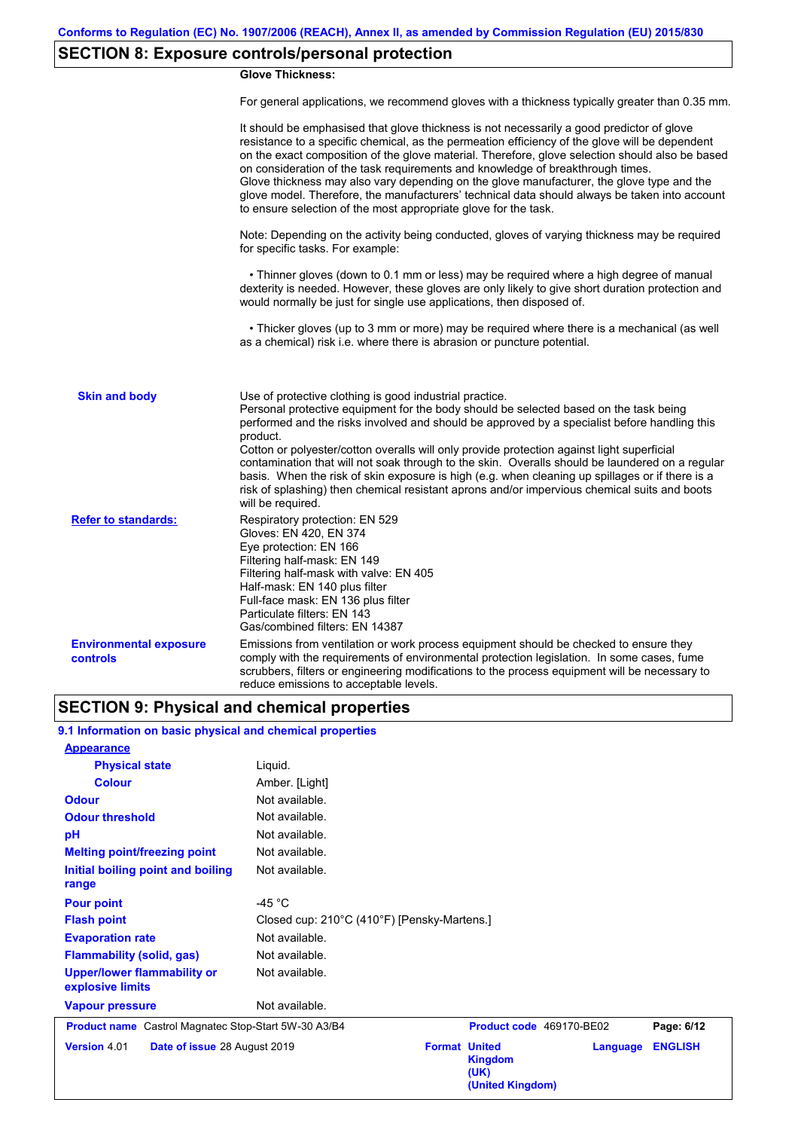## **SECTION 8: Exposure controls/personal protection**

### **Glove Thickness:**

For general applications, we recommend gloves with a thickness typically greater than 0.35 mm.

|                                           | It should be emphasised that glove thickness is not necessarily a good predictor of glove<br>resistance to a specific chemical, as the permeation efficiency of the glove will be dependent<br>on the exact composition of the glove material. Therefore, glove selection should also be based<br>on consideration of the task requirements and knowledge of breakthrough times.<br>Glove thickness may also vary depending on the glove manufacturer, the glove type and the<br>glove model. Therefore, the manufacturers' technical data should always be taken into account<br>to ensure selection of the most appropriate glove for the task.                                     |
|-------------------------------------------|---------------------------------------------------------------------------------------------------------------------------------------------------------------------------------------------------------------------------------------------------------------------------------------------------------------------------------------------------------------------------------------------------------------------------------------------------------------------------------------------------------------------------------------------------------------------------------------------------------------------------------------------------------------------------------------|
|                                           | Note: Depending on the activity being conducted, gloves of varying thickness may be required<br>for specific tasks. For example:                                                                                                                                                                                                                                                                                                                                                                                                                                                                                                                                                      |
|                                           | • Thinner gloves (down to 0.1 mm or less) may be required where a high degree of manual<br>dexterity is needed. However, these gloves are only likely to give short duration protection and<br>would normally be just for single use applications, then disposed of.                                                                                                                                                                                                                                                                                                                                                                                                                  |
|                                           | • Thicker gloves (up to 3 mm or more) may be required where there is a mechanical (as well<br>as a chemical) risk i.e. where there is abrasion or puncture potential.                                                                                                                                                                                                                                                                                                                                                                                                                                                                                                                 |
| <b>Skin and body</b>                      | Use of protective clothing is good industrial practice.<br>Personal protective equipment for the body should be selected based on the task being<br>performed and the risks involved and should be approved by a specialist before handling this<br>product.<br>Cotton or polyester/cotton overalls will only provide protection against light superficial<br>contamination that will not soak through to the skin. Overalls should be laundered on a regular<br>basis. When the risk of skin exposure is high (e.g. when cleaning up spillages or if there is a<br>risk of splashing) then chemical resistant aprons and/or impervious chemical suits and boots<br>will be required. |
| <b>Refer to standards:</b>                | Respiratory protection: EN 529<br>Gloves: EN 420, EN 374<br>Eye protection: EN 166<br>Filtering half-mask: EN 149<br>Filtering half-mask with valve: EN 405<br>Half-mask: EN 140 plus filter<br>Full-face mask: EN 136 plus filter<br>Particulate filters: EN 143<br>Gas/combined filters: EN 14387                                                                                                                                                                                                                                                                                                                                                                                   |
| <b>Environmental exposure</b><br>controls | Emissions from ventilation or work process equipment should be checked to ensure they<br>comply with the requirements of environmental protection legislation. In some cases, fume<br>scrubbers, filters or engineering modifications to the process equipment will be necessary to<br>reduce emissions to acceptable levels.                                                                                                                                                                                                                                                                                                                                                         |

## **SECTION 9: Physical and chemical properties**

### **9.1 Information on basic physical and chemical properties**

| <b>Appearance</b>                                      |                                             |
|--------------------------------------------------------|---------------------------------------------|
| <b>Physical state</b>                                  | Liquid.                                     |
| <b>Colour</b>                                          | Amber. [Light]                              |
| <b>Odour</b>                                           | Not available.                              |
| <b>Odour threshold</b>                                 | Not available.                              |
| рH                                                     | Not available.                              |
| <b>Melting point/freezing point</b>                    | Not available.                              |
| Initial boiling point and boiling                      | Not available.                              |
| range                                                  |                                             |
| <b>Pour point</b>                                      | -45 $^{\circ}$ C                            |
| <b>Flash point</b>                                     | Closed cup: 210°C (410°F) [Pensky-Martens.] |
| <b>Evaporation rate</b>                                | Not available.                              |
| <b>Flammability (solid, gas)</b>                       | Not available.                              |
| <b>Upper/lower flammability or</b><br>explosive limits | Not available.                              |
| <b>Vapour pressure</b>                                 | Not available.                              |

**Product name** Castrol Magnatec Stop-Start 5W-30 A3/B4 **Product code** 469170-BE02 **Page: 6/12** |

**Version** 4.01 **Date of issue** 28 August 2019

|                      | <b>Product code</b> 4091/U-BEUZ            |                  | Page: 6/12 |  |
|----------------------|--------------------------------------------|------------------|------------|--|
| <b>Format United</b> | <b>Kingdom</b><br>(UK)<br>(United Kingdom) | Language ENGLISH |            |  |
|                      |                                            |                  |            |  |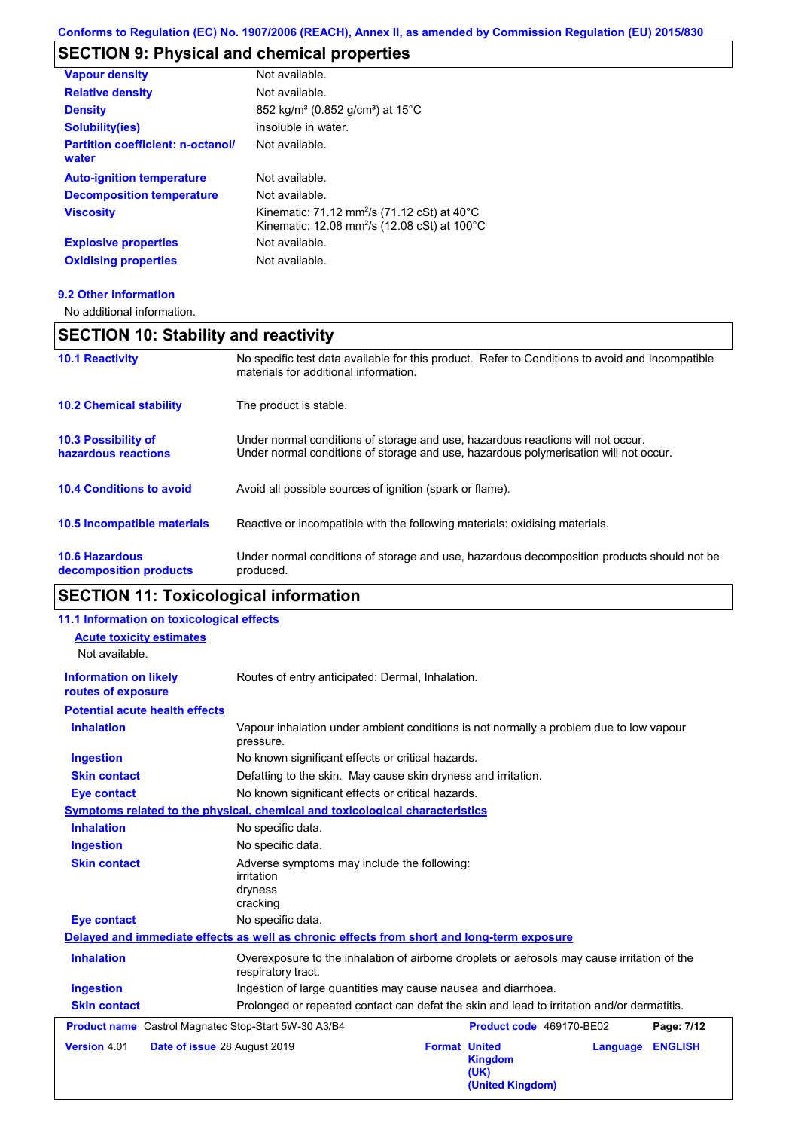# **SECTION 9: Physical and chemical properties**

| <b>Vapour density</b>                             | Not available.                                                                                                                            |
|---------------------------------------------------|-------------------------------------------------------------------------------------------------------------------------------------------|
| <b>Relative density</b>                           | Not available.                                                                                                                            |
| <b>Density</b>                                    | 852 kg/m <sup>3</sup> (0.852 g/cm <sup>3</sup> ) at 15 <sup>°</sup> C                                                                     |
| <b>Solubility(ies)</b>                            | insoluble in water.                                                                                                                       |
| <b>Partition coefficient: n-octanol/</b><br>water | Not available.                                                                                                                            |
| <b>Auto-ignition temperature</b>                  | Not available.                                                                                                                            |
| <b>Decomposition temperature</b>                  | Not available.                                                                                                                            |
| <b>Viscosity</b>                                  | Kinematic: 71.12 mm <sup>2</sup> /s (71.12 cSt) at 40 $^{\circ}$ C<br>Kinematic: 12.08 mm <sup>2</sup> /s (12.08 cSt) at 100 $^{\circ}$ C |
| <b>Explosive properties</b>                       | Not available.                                                                                                                            |
| <b>Oxidising properties</b>                       | Not available.                                                                                                                            |

### **9.2 Other information**

No additional information.

# **SECTION 10: Stability and reactivity**

| <b>10.6 Hazardous</b><br>decomposition products   | Under normal conditions of storage and use, hazardous decomposition products should not be<br>produced.                                                                 |
|---------------------------------------------------|-------------------------------------------------------------------------------------------------------------------------------------------------------------------------|
| 10.5 Incompatible materials                       | Reactive or incompatible with the following materials: oxidising materials.                                                                                             |
| <b>10.4 Conditions to avoid</b>                   | Avoid all possible sources of ignition (spark or flame).                                                                                                                |
| <b>10.3 Possibility of</b><br>hazardous reactions | Under normal conditions of storage and use, hazardous reactions will not occur.<br>Under normal conditions of storage and use, hazardous polymerisation will not occur. |
| <b>10.2 Chemical stability</b>                    | The product is stable.                                                                                                                                                  |
| <b>10.1 Reactivity</b>                            | No specific test data available for this product. Refer to Conditions to avoid and Incompatible<br>materials for additional information.                                |

## **SECTION 11: Toxicological information**

| 11.1 Information on toxicological effects            |                                                                                                                   |                      |                                            |          |                |
|------------------------------------------------------|-------------------------------------------------------------------------------------------------------------------|----------------------|--------------------------------------------|----------|----------------|
| <b>Acute toxicity estimates</b>                      |                                                                                                                   |                      |                                            |          |                |
| Not available.                                       |                                                                                                                   |                      |                                            |          |                |
| <b>Information on likely</b><br>routes of exposure   | Routes of entry anticipated: Dermal, Inhalation.                                                                  |                      |                                            |          |                |
| <b>Potential acute health effects</b>                |                                                                                                                   |                      |                                            |          |                |
| <b>Inhalation</b>                                    | Vapour inhalation under ambient conditions is not normally a problem due to low vapour<br>pressure.               |                      |                                            |          |                |
| <b>Ingestion</b>                                     | No known significant effects or critical hazards.                                                                 |                      |                                            |          |                |
| <b>Skin contact</b>                                  | Defatting to the skin. May cause skin dryness and irritation.                                                     |                      |                                            |          |                |
| <b>Eye contact</b>                                   | No known significant effects or critical hazards.                                                                 |                      |                                            |          |                |
|                                                      | Symptoms related to the physical, chemical and toxicological characteristics                                      |                      |                                            |          |                |
| <b>Inhalation</b>                                    | No specific data.                                                                                                 |                      |                                            |          |                |
| <b>Ingestion</b>                                     | No specific data.                                                                                                 |                      |                                            |          |                |
| <b>Skin contact</b>                                  | Adverse symptoms may include the following:<br>irritation<br>dryness<br>cracking                                  |                      |                                            |          |                |
| <b>Eye contact</b>                                   | No specific data.                                                                                                 |                      |                                            |          |                |
|                                                      | Delayed and immediate effects as well as chronic effects from short and long-term exposure                        |                      |                                            |          |                |
| <b>Inhalation</b>                                    | Overexposure to the inhalation of airborne droplets or aerosols may cause irritation of the<br>respiratory tract. |                      |                                            |          |                |
| <b>Ingestion</b>                                     | Ingestion of large quantities may cause nausea and diarrhoea.                                                     |                      |                                            |          |                |
| <b>Skin contact</b>                                  | Prolonged or repeated contact can defat the skin and lead to irritation and/or dermatitis.                        |                      |                                            |          |                |
| Product name Castrol Magnatec Stop-Start 5W-30 A3/B4 |                                                                                                                   |                      | Product code 469170-BE02                   |          | Page: 7/12     |
| Version 4.01<br>Date of issue 28 August 2019         |                                                                                                                   | <b>Format United</b> | <b>Kingdom</b><br>(UK)<br>(United Kingdom) | Language | <b>ENGLISH</b> |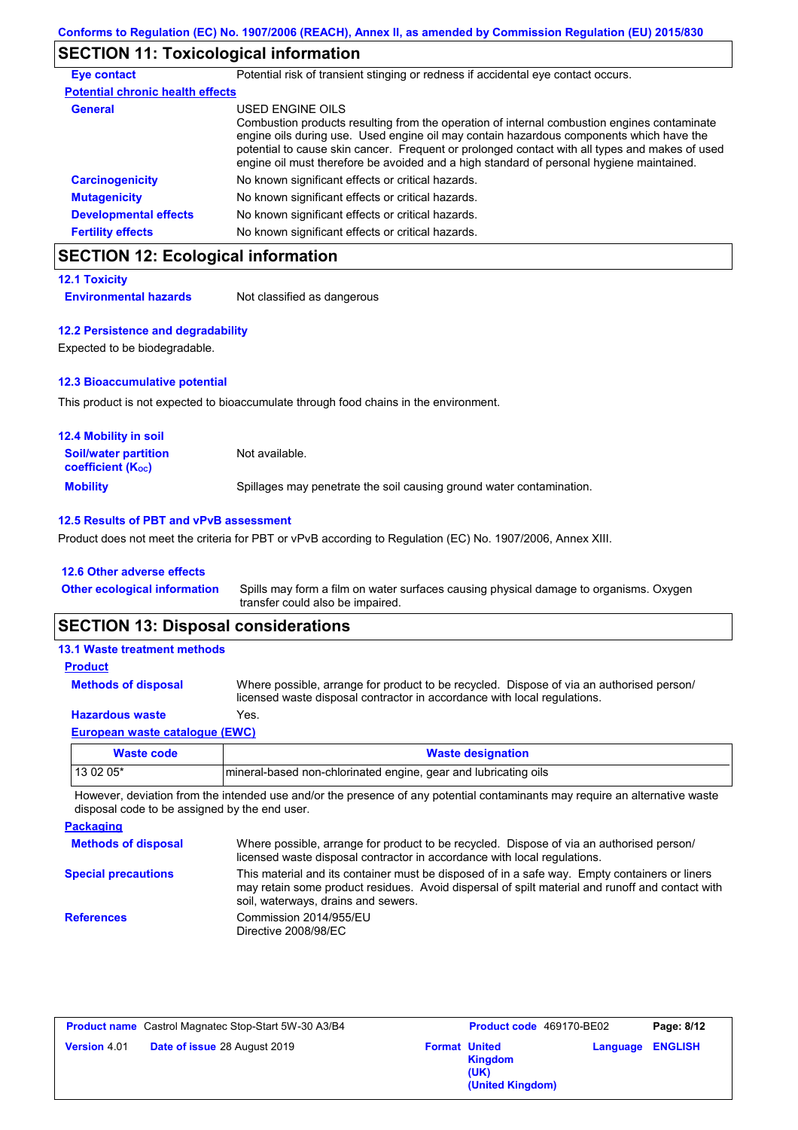## **SECTION 11: Toxicological information**

| <b>Eye contact</b>                      | Potential risk of transient stinging or redness if accidental eye contact occurs.                                                                                                                                                                                                                                                                                                                        |
|-----------------------------------------|----------------------------------------------------------------------------------------------------------------------------------------------------------------------------------------------------------------------------------------------------------------------------------------------------------------------------------------------------------------------------------------------------------|
| <b>Potential chronic health effects</b> |                                                                                                                                                                                                                                                                                                                                                                                                          |
| <b>General</b>                          | USED ENGINE OILS<br>Combustion products resulting from the operation of internal combustion engines contaminate<br>engine oils during use. Used engine oil may contain hazardous components which have the<br>potential to cause skin cancer. Frequent or prolonged contact with all types and makes of used<br>engine oil must therefore be avoided and a high standard of personal hygiene maintained. |
| <b>Carcinogenicity</b>                  | No known significant effects or critical hazards.                                                                                                                                                                                                                                                                                                                                                        |
| <b>Mutagenicity</b>                     | No known significant effects or critical hazards.                                                                                                                                                                                                                                                                                                                                                        |
| <b>Developmental effects</b>            | No known significant effects or critical hazards.                                                                                                                                                                                                                                                                                                                                                        |
| <b>Fertility effects</b>                | No known significant effects or critical hazards.                                                                                                                                                                                                                                                                                                                                                        |

## **SECTION 12: Ecological information**

| <b>12.1 Toxicity</b>         |                             |
|------------------------------|-----------------------------|
| <b>Environmental hazards</b> | Not classified as dangerous |

### **12.2 Persistence and degradability**

Expected to be biodegradable.

### **12.3 Bioaccumulative potential**

This product is not expected to bioaccumulate through food chains in the environment.

| <b>12.4 Mobility in soil</b>                                  |                                                                      |
|---------------------------------------------------------------|----------------------------------------------------------------------|
| <b>Soil/water partition</b><br>coefficient (K <sub>oc</sub> ) | Not available.                                                       |
| <b>Mobility</b>                                               | Spillages may penetrate the soil causing ground water contamination. |

### **12.5 Results of PBT and vPvB assessment**

Product does not meet the criteria for PBT or vPvB according to Regulation (EC) No. 1907/2006, Annex XIII.

#### **12.6 Other adverse effects**

| <b>Other ecological information</b> | Spills may form a film on water surfaces causing physical damage to organisms. Oxygen |
|-------------------------------------|---------------------------------------------------------------------------------------|
|                                     | transfer could also be impaired.                                                      |

### **SECTION 13: Disposal considerations**

| Macto code                            | Waste designation                                                                                                                                                    |
|---------------------------------------|----------------------------------------------------------------------------------------------------------------------------------------------------------------------|
| <b>European waste catalogue (EWC)</b> |                                                                                                                                                                      |
| <b>Hazardous waste</b>                | Yes.                                                                                                                                                                 |
| <b>Methods of disposal</b>            | Where possible, arrange for product to be recycled. Dispose of via an authorised person/<br>licensed waste disposal contractor in accordance with local regulations. |
| <b>Product</b>                        |                                                                                                                                                                      |
| <b>13.1 Waste treatment methods</b>   |                                                                                                                                                                      |

| Waste code | <b>Waste designation</b>                                        |
|------------|-----------------------------------------------------------------|
| 13 02 05*  | mineral-based non-chlorinated engine, gear and lubricating oils |

However, deviation from the intended use and/or the presence of any potential contaminants may require an alternative waste disposal code to be assigned by the end user.

| <b>Packaging</b>           |                                                                                                                                                                                                                                         |
|----------------------------|-----------------------------------------------------------------------------------------------------------------------------------------------------------------------------------------------------------------------------------------|
| <b>Methods of disposal</b> | Where possible, arrange for product to be recycled. Dispose of via an authorised person/<br>licensed waste disposal contractor in accordance with local regulations.                                                                    |
| <b>Special precautions</b> | This material and its container must be disposed of in a safe way. Empty containers or liners<br>may retain some product residues. Avoid dispersal of spilt material and runoff and contact with<br>soil, waterways, drains and sewers. |
| <b>References</b>          | Commission 2014/955/EU<br>Directive 2008/98/EC                                                                                                                                                                                          |

| <b>Product name</b> Castrol Magnatec Stop-Start 5W-30 A3/B4 |                                     | <b>Product code</b> 469170-BE02 |                                     | Page: 8/12              |  |
|-------------------------------------------------------------|-------------------------------------|---------------------------------|-------------------------------------|-------------------------|--|
| <b>Version 4.01</b>                                         | <b>Date of issue 28 August 2019</b> | <b>Format United</b>            | Kingdom<br>(UK)<br>(United Kingdom) | <b>Language ENGLISH</b> |  |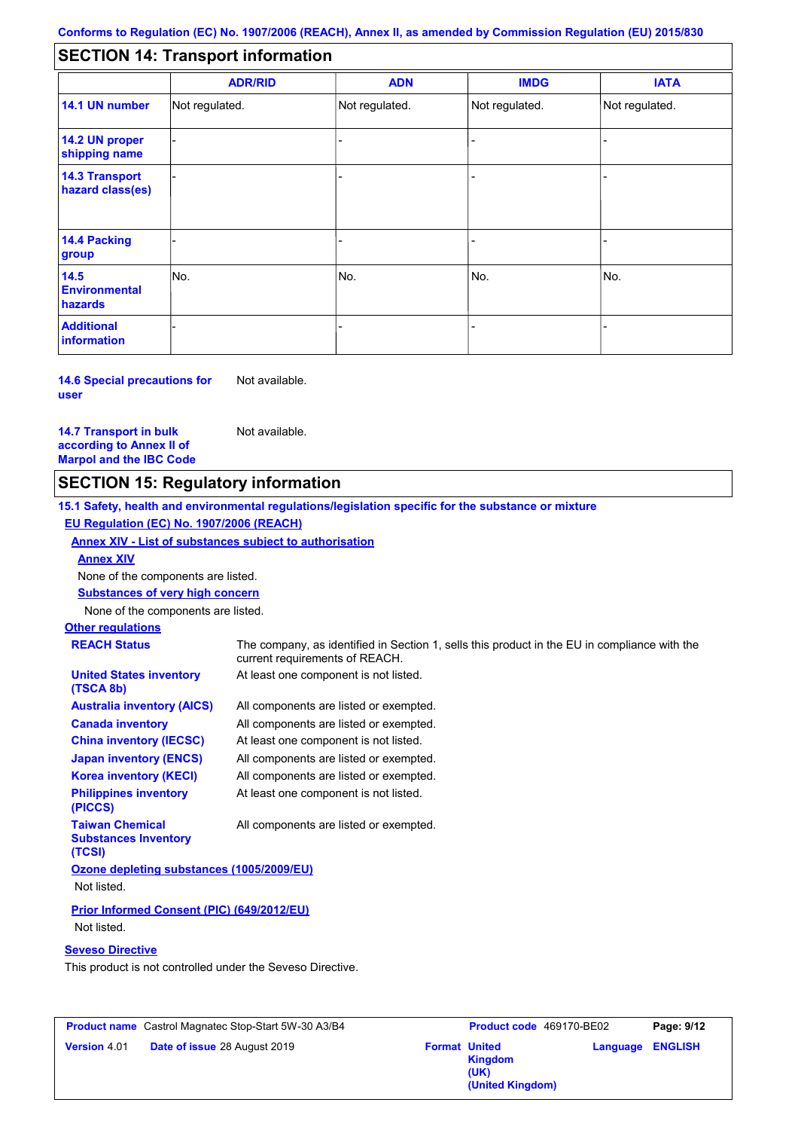#### - - - - - - - - - Not regulated. Not regulated. Not regulated. - - - **SECTION 14: Transport information ADR/RID IMDG IATA 14.1 UN number 14.2 UN proper shipping name 14.3 Transport hazard class(es) 14.4 Packing group ADN Additional information 14.5 Environmental hazards** No. 1988 | No. 1989 | No. 1989 | No. 1989 | No. 1989 | No. 1989 | No. 1989 | No. 1989 | No. 1989 | No. 1989 | Not regulated. - No. - -

#### **14.6 Special precautions for user** Not available.

**14.7 Transport in bulk according to Annex II of Marpol and the IBC Code** Not available.

## **SECTION 15: Regulatory information**

**15.1 Safety, health and environmental regulations/legislation specific for the substance or mixture EU Regulation (EC) No. 1907/2006 (REACH)**

## **Annex XIV - List of substances subject to authorisation**

**Annex XIV**

None of the components are listed.

**Substances of very high concern**

None of the components are listed.

## **Other regulations**

| <b>REACH Status</b>                                             | The company, as identified in Section 1, sells this product in the EU in compliance with the<br>current requirements of REACH. |
|-----------------------------------------------------------------|--------------------------------------------------------------------------------------------------------------------------------|
| <b>United States inventory</b><br>(TSCA 8b)                     | At least one component is not listed.                                                                                          |
| <b>Australia inventory (AICS)</b>                               | All components are listed or exempted.                                                                                         |
| <b>Canada inventory</b>                                         | All components are listed or exempted.                                                                                         |
| <b>China inventory (IECSC)</b>                                  | At least one component is not listed.                                                                                          |
| <b>Japan inventory (ENCS)</b>                                   | All components are listed or exempted.                                                                                         |
| <b>Korea inventory (KECI)</b>                                   | All components are listed or exempted.                                                                                         |
| <b>Philippines inventory</b><br>(PICCS)                         | At least one component is not listed.                                                                                          |
| <b>Taiwan Chemical</b><br><b>Substances Inventory</b><br>(TCSI) | All components are listed or exempted.                                                                                         |
| Ozone depleting substances (1005/2009/EU)                       |                                                                                                                                |
| Not listed.                                                     |                                                                                                                                |
| Prior Informed Consent (PIC) (649/2012/EU)                      |                                                                                                                                |

Not listed.

### **Seveso Directive**

This product is not controlled under the Seveso Directive.

| <b>Product name</b> Castrol Magnatec Stop-Start 5W-30 A3/B4 |                      | Product code 469170-BE02                   |                         | Page: 9/12 |
|-------------------------------------------------------------|----------------------|--------------------------------------------|-------------------------|------------|
| Date of issue 28 August 2019<br><b>Version 4.01</b>         | <b>Format United</b> | <b>Kingdom</b><br>(UK)<br>(United Kingdom) | <b>Language ENGLISH</b> |            |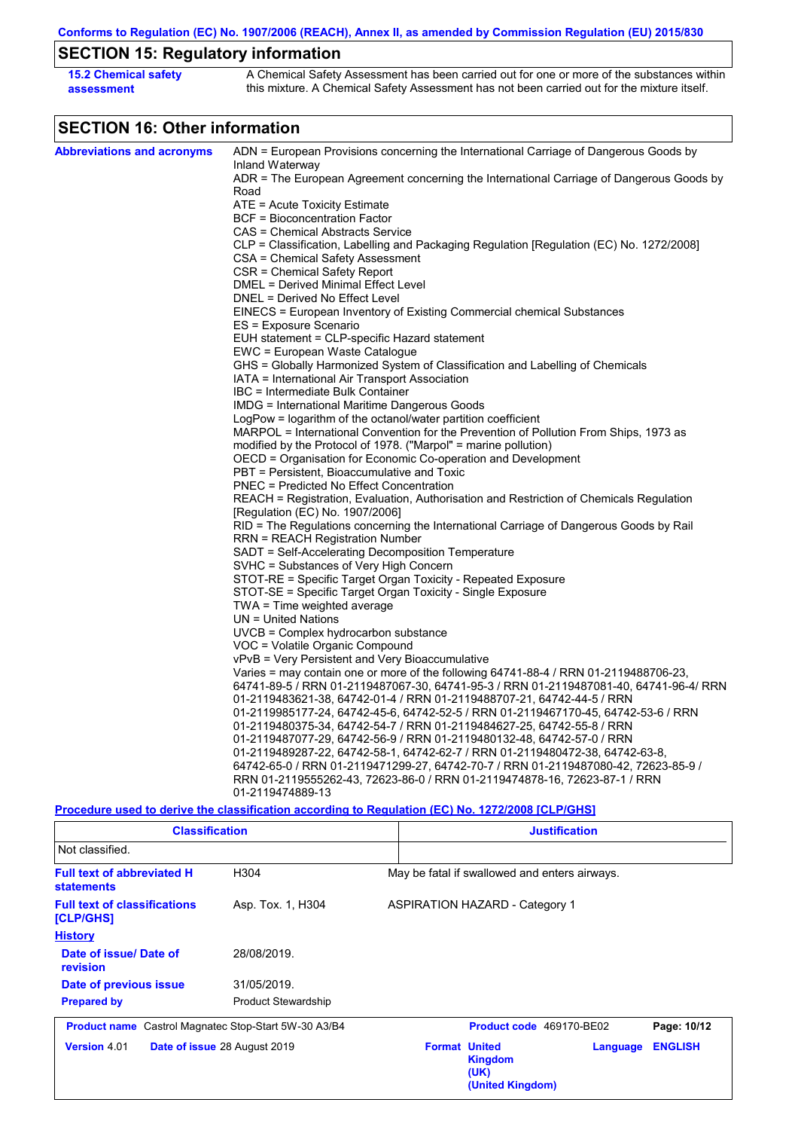**Conforms to Regulation (EC) No. 1907/2006 (REACH), Annex II, as amended by Commission Regulation (EU) 2015/830**

# **SECTION 15: Regulatory information**

| <b>15.2 Chemical safety</b> | A Chemical Safety Assessment has been carried out for one or more of the substances within  |
|-----------------------------|---------------------------------------------------------------------------------------------|
| assessment                  | this mixture. A Chemical Safety Assessment has not been carried out for the mixture itself. |

# **SECTION 16: Other information**

| <b>Abbreviations and acronyms</b> | ADN = European Provisions concerning the International Carriage of Dangerous Goods by                                                                          |
|-----------------------------------|----------------------------------------------------------------------------------------------------------------------------------------------------------------|
|                                   | Inland Waterway                                                                                                                                                |
|                                   | ADR = The European Agreement concerning the International Carriage of Dangerous Goods by<br>Road                                                               |
|                                   | ATE = Acute Toxicity Estimate                                                                                                                                  |
|                                   | <b>BCF = Bioconcentration Factor</b>                                                                                                                           |
|                                   | CAS = Chemical Abstracts Service                                                                                                                               |
|                                   | CLP = Classification, Labelling and Packaging Regulation [Regulation (EC) No. 1272/2008]                                                                       |
|                                   | CSA = Chemical Safety Assessment                                                                                                                               |
|                                   | CSR = Chemical Safety Report                                                                                                                                   |
|                                   | DMEL = Derived Minimal Effect Level                                                                                                                            |
|                                   | DNEL = Derived No Effect Level                                                                                                                                 |
|                                   | EINECS = European Inventory of Existing Commercial chemical Substances                                                                                         |
|                                   | ES = Exposure Scenario                                                                                                                                         |
|                                   | EUH statement = CLP-specific Hazard statement                                                                                                                  |
|                                   | EWC = European Waste Catalogue                                                                                                                                 |
|                                   | GHS = Globally Harmonized System of Classification and Labelling of Chemicals                                                                                  |
|                                   | IATA = International Air Transport Association                                                                                                                 |
|                                   | IBC = Intermediate Bulk Container                                                                                                                              |
|                                   | IMDG = International Maritime Dangerous Goods                                                                                                                  |
|                                   | LogPow = logarithm of the octanol/water partition coefficient<br>MARPOL = International Convention for the Prevention of Pollution From Ships, 1973 as         |
|                                   | modified by the Protocol of 1978. ("Marpol" = marine pollution)                                                                                                |
|                                   | OECD = Organisation for Economic Co-operation and Development                                                                                                  |
|                                   | PBT = Persistent, Bioaccumulative and Toxic                                                                                                                    |
|                                   | PNEC = Predicted No Effect Concentration                                                                                                                       |
|                                   | REACH = Registration, Evaluation, Authorisation and Restriction of Chemicals Regulation                                                                        |
|                                   | [Regulation (EC) No. 1907/2006]                                                                                                                                |
|                                   | RID = The Regulations concerning the International Carriage of Dangerous Goods by Rail                                                                         |
|                                   | RRN = REACH Registration Number                                                                                                                                |
|                                   | SADT = Self-Accelerating Decomposition Temperature                                                                                                             |
|                                   | SVHC = Substances of Very High Concern                                                                                                                         |
|                                   | STOT-RE = Specific Target Organ Toxicity - Repeated Exposure                                                                                                   |
|                                   | STOT-SE = Specific Target Organ Toxicity - Single Exposure                                                                                                     |
|                                   | TWA = Time weighted average                                                                                                                                    |
|                                   | UN = United Nations                                                                                                                                            |
|                                   | $UVCB = Complex\;hydrocarbon\; substance$                                                                                                                      |
|                                   | VOC = Volatile Organic Compound                                                                                                                                |
|                                   | vPvB = Very Persistent and Very Bioaccumulative                                                                                                                |
|                                   | Varies = may contain one or more of the following $64741-88-4$ / RRN 01-2119488706-23,                                                                         |
|                                   | 64741-89-5 / RRN 01-2119487067-30, 64741-95-3 / RRN 01-2119487081-40, 64741-96-4/ RRN<br>01-2119483621-38, 64742-01-4 / RRN 01-2119488707-21, 64742-44-5 / RRN |
|                                   | 01-2119985177-24, 64742-45-6, 64742-52-5 / RRN 01-2119467170-45, 64742-53-6 / RRN                                                                              |
|                                   | 01-2119480375-34, 64742-54-7 / RRN 01-2119484627-25, 64742-55-8 / RRN                                                                                          |
|                                   | 01-2119487077-29, 64742-56-9 / RRN 01-2119480132-48, 64742-57-0 / RRN                                                                                          |
|                                   | 01-2119489287-22, 64742-58-1, 64742-62-7 / RRN 01-2119480472-38, 64742-63-8,                                                                                   |
|                                   | 64742-65-0 / RRN 01-2119471299-27, 64742-70-7 / RRN 01-2119487080-42, 72623-85-9 /                                                                             |
|                                   | RRN 01-2119555262-43, 72623-86-0 / RRN 01-2119474878-16, 72623-87-1 / RRN                                                                                      |
|                                   | 01-2119474889-13                                                                                                                                               |
|                                   | <u>Procedure used to derive the classification according to Regulation (EC) No. 1272/2008 [CLP/GHS]</u>                                                        |

| <b>Classification</b>                                       |                              |                      | <b>Justification</b>                          |          |                |  |
|-------------------------------------------------------------|------------------------------|----------------------|-----------------------------------------------|----------|----------------|--|
| Not classified.                                             |                              |                      |                                               |          |                |  |
| <b>Full text of abbreviated H</b><br><b>statements</b>      | H304                         |                      | May be fatal if swallowed and enters airways. |          |                |  |
| <b>Full text of classifications</b><br>[CLP/GHS]            | Asp. Tox. 1, H304            |                      | <b>ASPIRATION HAZARD - Category 1</b>         |          |                |  |
| <b>History</b>                                              |                              |                      |                                               |          |                |  |
| Date of issue/Date of<br>revision                           | 28/08/2019.                  |                      |                                               |          |                |  |
| Date of previous issue                                      | 31/05/2019.                  |                      |                                               |          |                |  |
| <b>Prepared by</b>                                          | <b>Product Stewardship</b>   |                      |                                               |          |                |  |
| <b>Product name</b> Castrol Magnatec Stop-Start 5W-30 A3/B4 |                              |                      | Product code 469170-BE02                      |          | Page: 10/12    |  |
| <b>Version 4.01</b>                                         | Date of issue 28 August 2019 | <b>Format United</b> | <b>Kingdom</b><br>(UK)<br>(United Kingdom)    | Language | <b>ENGLISH</b> |  |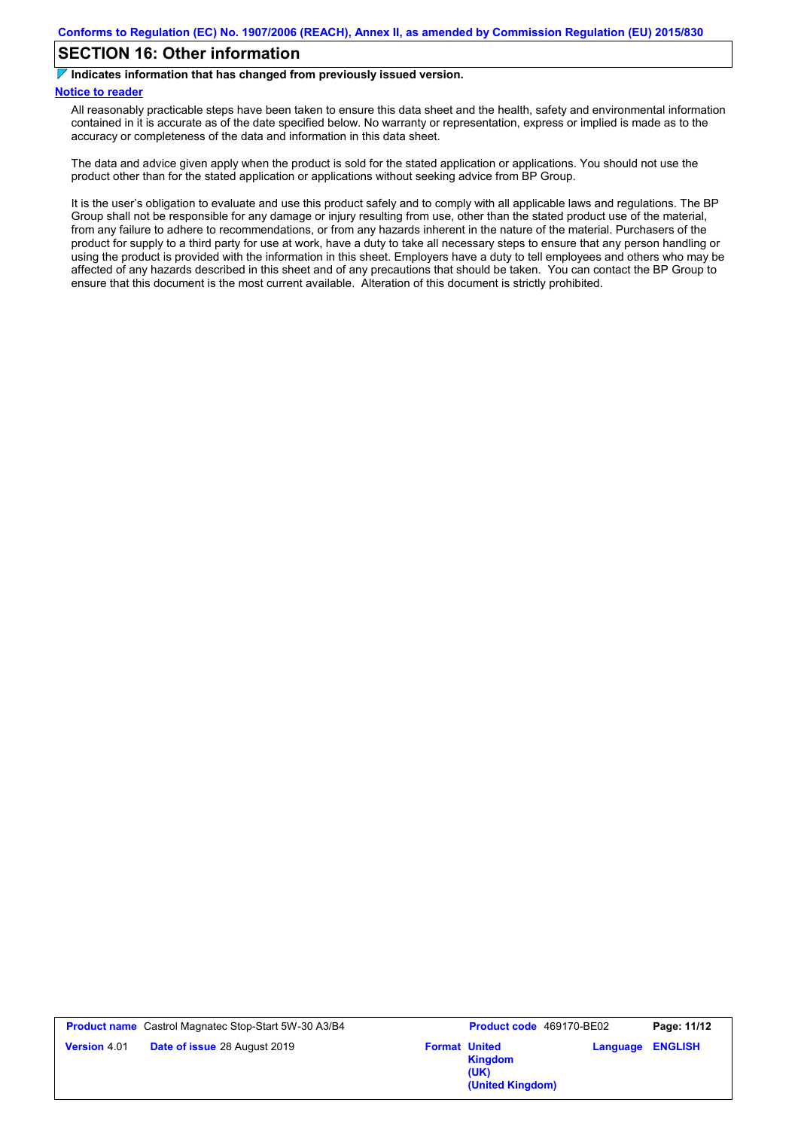### **SECTION 16: Other information**

**Indicates information that has changed from previously issued version.**

### **Notice to reader**

All reasonably practicable steps have been taken to ensure this data sheet and the health, safety and environmental information contained in it is accurate as of the date specified below. No warranty or representation, express or implied is made as to the accuracy or completeness of the data and information in this data sheet.

The data and advice given apply when the product is sold for the stated application or applications. You should not use the product other than for the stated application or applications without seeking advice from BP Group.

It is the user's obligation to evaluate and use this product safely and to comply with all applicable laws and regulations. The BP Group shall not be responsible for any damage or injury resulting from use, other than the stated product use of the material, from any failure to adhere to recommendations, or from any hazards inherent in the nature of the material. Purchasers of the product for supply to a third party for use at work, have a duty to take all necessary steps to ensure that any person handling or using the product is provided with the information in this sheet. Employers have a duty to tell employees and others who may be affected of any hazards described in this sheet and of any precautions that should be taken. You can contact the BP Group to ensure that this document is the most current available. Alteration of this document is strictly prohibited.

| <b>Product name</b> Castrol Magnatec Stop-Start 5W-30 A3/B4 |                              | Product code 469170-BE02 |                                                             | Page: 11/12 |                |
|-------------------------------------------------------------|------------------------------|--------------------------|-------------------------------------------------------------|-------------|----------------|
| <b>Version 4.01</b>                                         | Date of issue 28 August 2019 |                          | <b>Format United</b><br>Kingdom<br>(UK)<br>(United Kingdom) | Language    | <b>ENGLISH</b> |